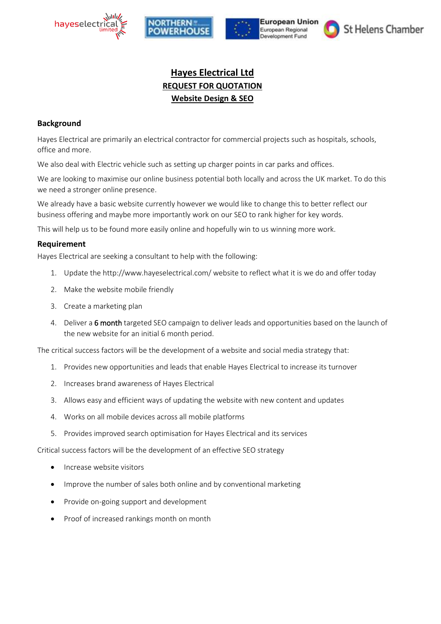







# **Hayes Electrical Ltd REQUEST FOR QUOTATION Website Design & SEO**

## **Background**

Hayes Electrical are primarily an electrical contractor for commercial projects such as hospitals, schools, office and more.

We also deal with Electric vehicle such as setting up charger points in car parks and offices.

We are looking to maximise our online business potential both locally and across the UK market. To do this we need a stronger online presence.

We already have a basic website currently however we would like to change this to better reflect our business offering and maybe more importantly work on our SEO to rank higher for key words.

This will help us to be found more easily online and hopefully win to us winning more work.

## **Requirement**

Hayes Electrical are seeking a consultant to help with the following:

- 1. Update the http://www.hayeselectrical.com/ website to reflect what it is we do and offer today
- 2. Make the website mobile friendly
- 3. Create a marketing plan
- 4. Deliver a 6 month targeted SEO campaign to deliver leads and opportunities based on the launch of the new website for an initial 6 month period.

The critical success factors will be the development of a website and social media strategy that:

- 1. Provides new opportunities and leads that enable Hayes Electrical to increase its turnover
- 2. Increases brand awareness of Hayes Electrical
- 3. Allows easy and efficient ways of updating the website with new content and updates
- 4. Works on all mobile devices across all mobile platforms
- 5. Provides improved search optimisation for Hayes Electrical and its services

Critical success factors will be the development of an effective SEO strategy

- Increase website visitors
- Improve the number of sales both online and by conventional marketing
- Provide on-going support and development
- Proof of increased rankings month on month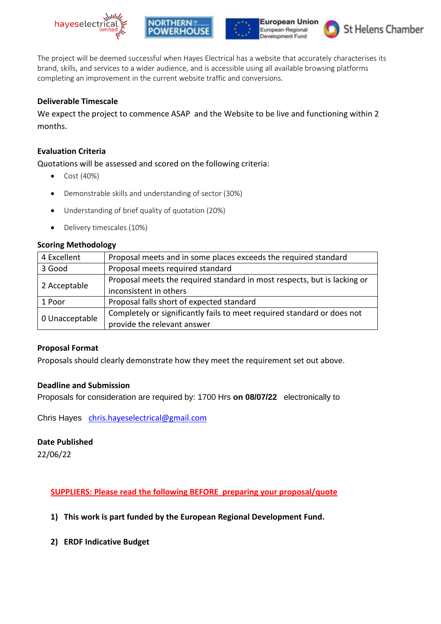







The project will be deemed successful when Hayes Electrical has a website that accurately characterises its brand, skills, and services to a wider audience, and is accessible using all available browsing platforms completing an improvement in the current website traffic and conversions.

# **Deliverable Timescale**

We expect the project to commence ASAP and the Website to be live and functioning within 2 months.

## **Evaluation Criteria**

Quotations will be assessed and scored on the following criteria:

- Cost (40%)
- Demonstrable skills and understanding of sector (30%)
- Understanding of brief quality of quotation (20%)
- Delivery timescales (10%)

## **Scoring Methodology**

| 4 Excellent    | Proposal meets and in some places exceeds the required standard          |
|----------------|--------------------------------------------------------------------------|
| 3 Good         | Proposal meets required standard                                         |
| 2 Acceptable   | Proposal meets the required standard in most respects, but is lacking or |
|                | inconsistent in others                                                   |
| 1 Poor         | Proposal falls short of expected standard                                |
| 0 Unacceptable | Completely or significantly fails to meet required standard or does not  |
|                | provide the relevant answer                                              |

#### **Proposal Format**

Proposals should clearly demonstrate how they meet the requirement set out above.

#### **Deadline and Submission**

Proposals for consideration are required by: 1700 Hrs **on 08/07/22** electronically to

Chris Hayes [chris.hayeselectrical@gmail.com](mailto:chris.hayeselectrical@gmail.com)

#### **Date Published**

22/06/22

**SUPPLIERS: Please read the following BEFORE preparing your proposal/quote** 

- **1) This work is part funded by the European Regional Development Fund.**
- **2) ERDF Indicative Budget**